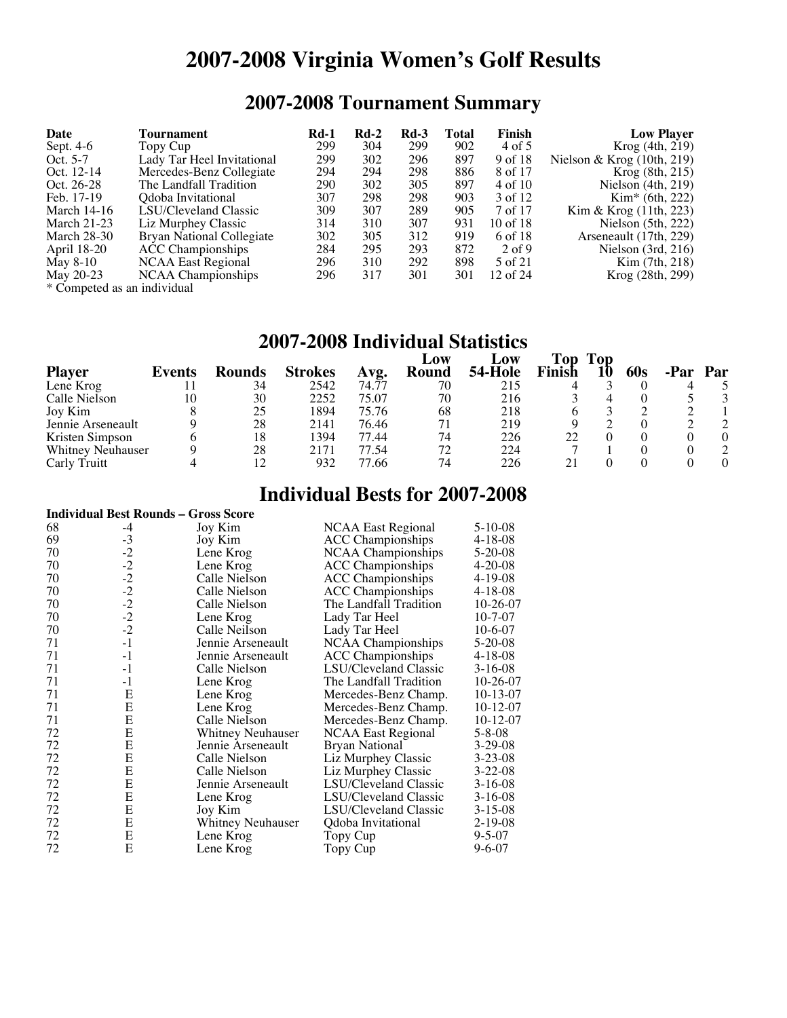# **2007-2008 Virginia Women's Golf Results**

## **2007-2008 Tournament Summary**

| Date                        | Tournament                 | <b>Rd-1</b> | $Rd-2$ | $Rd-3$ | Total | Finish       | <b>Low Player</b>                              |
|-----------------------------|----------------------------|-------------|--------|--------|-------|--------------|------------------------------------------------|
| Sept. 4-6                   | Topy Cup                   | 299         | 304    | 299    | 902   | 4 of 5       | Krog (4th, 219)                                |
| Oct. 5-7                    | Lady Tar Heel Invitational | 299         | 302    | 296    | 897   | 9 of 18      | Nielson & Krog $(10th, 219)$                   |
| Oct. 12-14                  | Mercedes-Benz Collegiate   | 294         | 294    | 298    | 886   | 8 of 17      | Krog (8th, 215)                                |
| Oct. 26-28                  | The Landfall Tradition     | 290         | 302    | 305    | 897   | 4 of 10      | Nielson $(4th, 219)$                           |
| Feb. 17-19                  | Odoba Invitational         | 307         | 298    | 298    | 903   | 3 of 12      | $Kim* (6th, 222)$                              |
| March $14-16$               | LSU/Cleveland Classic      | 309         | 307    | 289    | 905   | 7 of 17      | $\text{Kim} \& \text{Krog} (11\text{th}, 223)$ |
| March $21-23$               | Liz Murphey Classic        | 314         | 310    | 307    | 931   | $10$ of $18$ | Nielson $(5th, 222)$                           |
| March 28-30                 | Bryan National Collegiate  | 302         | 305    | 312    | 919   | 6 of 18      | Arseneault (17th, 229)                         |
| April 18-20                 | <b>ACC</b> Championships   | 284         | 295    | 293    | 872   | $2$ of 9     | Nielson $(3rd, 216)$                           |
| May 8-10                    | NCAA East Regional         | 296         | 310    | 292    | 898   | 5 of 21      | Kim (7th, 218)                                 |
| May 20-23                   | NCAA Championships         | 296         | 317    | 301    | 301   | 12 of $24$   | Krog (28th, 299)                               |
| * Competed as an individual |                            |             |        |        |       |              |                                                |

#### **2007-2008 Individual Statistics**

|                          |        |               |                |       | Low          | LOW     | Top    | Top |                 |     |
|--------------------------|--------|---------------|----------------|-------|--------------|---------|--------|-----|-----------------|-----|
| <b>Player</b>            | Events | <b>Rounds</b> | <b>Strokes</b> | Avg.  | <b>Round</b> | 54-Hole | Finish |     | 60 <sub>s</sub> | Par |
| Lene Krog                |        | 34            | 2542           | 74.77 | 70           | 215     |        |     |                 |     |
| Calle Nielson            | 10     | 30            | 2252           | 75.07 | 70           | 216     |        |     |                 |     |
| Joy Kim                  |        | 25            | 1894           | 75.76 | 68           | 218     |        |     |                 |     |
| Jennie Arseneault        |        | 28            | 2141           | 76.46 | 71           | 219     |        |     |                 |     |
| Kristen Simpson          |        | 18            | 1394           | 77.44 | 74           | 226     | າາ     |     |                 |     |
| <b>Whitney Neuhauser</b> |        | 28            | 2171           | 77.54 | 72           | 224     |        |     |                 |     |
| Carly Truitt             |        |               | 932            | 77.66 | 74           | 226     |        |     |                 |     |

### **Individual Bests for 2007-2008**

| <b>Individual Best Rounds – Gross Score</b> |      |                          |                           |               |  |  |  |
|---------------------------------------------|------|--------------------------|---------------------------|---------------|--|--|--|
| 68                                          | $-4$ | Joy Kim                  | NCAA East Regional        | $5 - 10 - 08$ |  |  |  |
| 69                                          | $-3$ | Joy Kim                  | <b>ACC</b> Championships  | $4 - 18 - 08$ |  |  |  |
| 70                                          | $-2$ | Lene Krog                | <b>NCAA</b> Championships | $5 - 20 - 08$ |  |  |  |
| 70                                          | $-2$ | Lene Krog                | <b>ACC</b> Championships  | $4 - 20 - 08$ |  |  |  |
| 70                                          | $-2$ | Calle Nielson            | <b>ACC</b> Championships  | $4 - 19 - 08$ |  |  |  |
| 70                                          | $-2$ | Calle Nielson            | <b>ACC</b> Championships  | $4 - 18 - 08$ |  |  |  |
| 70                                          | $-2$ | Calle Nielson            | The Landfall Tradition    | 10-26-07      |  |  |  |
| 70                                          | $-2$ | Lene Krog                | Lady Tar Heel             | $10-7-07$     |  |  |  |
| 70                                          | $-2$ | Calle Neilson            | Lady Tar Heel             | $10-6-07$     |  |  |  |
| 71                                          | $-1$ | Jennie Arseneault        | NCAA Championships        | $5 - 20 - 08$ |  |  |  |
| 71                                          | $-1$ | Jennie Arseneault        | <b>ACC</b> Championships  | $4 - 18 - 08$ |  |  |  |
| 71                                          | $-1$ | Calle Nielson            | LSU/Cleveland Classic     | $3-16-08$     |  |  |  |
| 71                                          | $-1$ | Lene Krog                | The Landfall Tradition    | $10-26-07$    |  |  |  |
| 71                                          | E    | Lene Krog                | Mercedes-Benz Champ.      | $10-13-07$    |  |  |  |
| 71                                          | E    | Lene Krog                | Mercedes-Benz Champ.      | $10-12-07$    |  |  |  |
| 71                                          | E    | Calle Nielson            | Mercedes-Benz Champ.      | $10-12-07$    |  |  |  |
| 72                                          | E    | Whitney Neuhauser        | <b>NCAA East Regional</b> | 5-8-08        |  |  |  |
| 72                                          | E    | Jennie Arseneault        | <b>Bryan National</b>     | $3-29-08$     |  |  |  |
| 72                                          | E    | Calle Nielson            | Liz Murphey Classic       | $3 - 23 - 08$ |  |  |  |
| 72                                          | E    | Calle Nielson            | Liz Murphey Classic       | $3 - 22 - 08$ |  |  |  |
| 72                                          | Е    | Jennie Arseneault        | LSU/Cleveland Classic     | $3-16-08$     |  |  |  |
| 72                                          | E    | Lene Krog                | LSU/Cleveland Classic     | $3-16-08$     |  |  |  |
| 72                                          | E    | Joy Kim                  | LSU/Cleveland Classic     | $3 - 15 - 08$ |  |  |  |
| 72                                          | E    | <b>Whitney Neuhauser</b> | Qdoba Invitational        | $2 - 19 - 08$ |  |  |  |
| 72                                          | E    | Lene Krog                | Topy Cup                  | $9 - 5 - 07$  |  |  |  |
| 72                                          | Е    | Lene Krog                | Topy Cup                  | $9 - 6 - 07$  |  |  |  |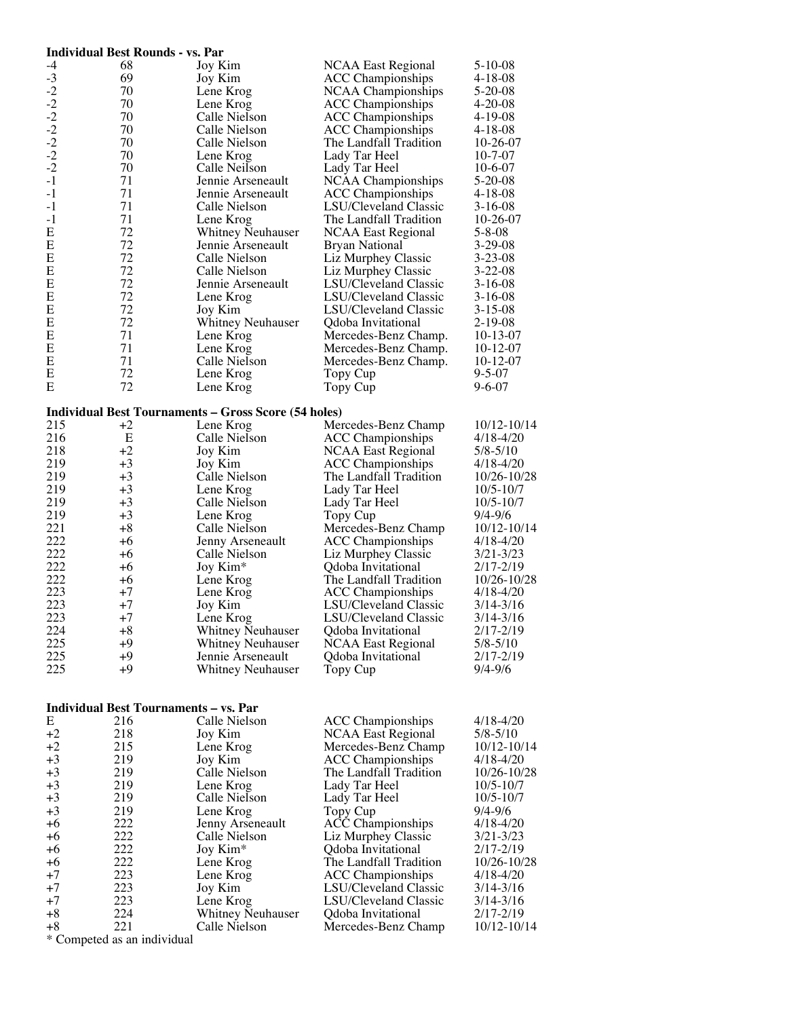|                                              | <b>Individual Best Rounds - vs. Par</b>      |                                                             |                           |               |
|----------------------------------------------|----------------------------------------------|-------------------------------------------------------------|---------------------------|---------------|
| -4                                           | 68                                           | Joy Kim                                                     | NCAA East Regional        | $5 - 10 - 08$ |
| $-3$                                         | 69                                           | Joy Kim                                                     | <b>ACC</b> Championships  | $4 - 18 - 08$ |
|                                              | 70                                           | Lene Krog                                                   | <b>NCAA Championships</b> | $5 - 20 - 08$ |
|                                              | 70                                           | Lene Krog                                                   | <b>ACC</b> Championships  | $4 - 20 - 08$ |
|                                              | 70                                           | Calle Nielson                                               | <b>ACC</b> Championships  | $4 - 19 - 08$ |
|                                              | 70                                           | Calle Nielson                                               | <b>ACC</b> Championships  | $4 - 18 - 08$ |
| $-2$<br>$-2$<br>$-2$<br>$-2$<br>$-2$<br>$-2$ | 70                                           | Calle Nielson                                               | The Landfall Tradition    | $10-26-07$    |
|                                              | 70                                           |                                                             |                           | $10 - 7 - 07$ |
|                                              |                                              | Lene Krog                                                   | Lady Tar Heel             |               |
|                                              | 70                                           | Calle Neilson                                               | Lady Tar Heel             | $10-6-07$     |
| $-1$                                         | 71                                           | Jennie Arseneault                                           | NCAA Championships        | $5 - 20 - 08$ |
| $-1$                                         | 71                                           | Jennie Arseneault                                           | <b>ACC Championships</b>  | $4 - 18 - 08$ |
| $-1$                                         | 71                                           | Calle Nielson                                               | LSU/Cleveland Classic     | $3-16-08$     |
| $-1$                                         | 71                                           | Lene Krog                                                   | The Landfall Tradition    | $10-26-07$    |
| E                                            | 72                                           | <b>Whitney Neuhauser</b>                                    | <b>NCAA East Regional</b> | $5 - 8 - 08$  |
| E                                            | 72                                           | Jennie Arseneault                                           | Bryan National            | $3-29-08$     |
| Е                                            | 72                                           | Calle Nielson                                               | Liz Murphey Classic       | $3 - 23 - 08$ |
| E                                            | 72                                           | Calle Nielson                                               | Liz Murphey Classic       | $3 - 22 - 08$ |
| E                                            | 72                                           | Jennie Arseneault                                           | LSU/Cleveland Classic     | $3-16-08$     |
| Е                                            | 72                                           | Lene Krog                                                   | LSU/Cleveland Classic     | $3-16-08$     |
| E                                            | 72                                           | Joy Kim                                                     | LSU/Cleveland Classic     | $3 - 15 - 08$ |
| E                                            | 72                                           | <b>Whitney Neuhauser</b>                                    | Qdoba Invitational        | $2 - 19 - 08$ |
| Е                                            | 71                                           | Lene Krog                                                   | Mercedes-Benz Champ.      | $10-13-07$    |
| E                                            | 71                                           | Lene Krog                                                   | Mercedes-Benz Champ.      | $10-12-07$    |
| E                                            | 71                                           | Calle Nielson                                               | Mercedes-Benz Champ.      | $10-12-07$    |
| E                                            | 72                                           |                                                             |                           | $9 - 5 - 07$  |
|                                              |                                              | Lene Krog                                                   | Topy Cup                  |               |
| E                                            | 72                                           | Lene Krog                                                   | Topy Cup                  | $9 - 6 - 07$  |
|                                              |                                              |                                                             |                           |               |
|                                              |                                              | <b>Individual Best Tournaments - Gross Score (54 holes)</b> |                           |               |
| 215                                          | $+2$                                         | Lene Krog                                                   | Mercedes-Benz Champ       | 10/12-10/14   |
| 216                                          | E                                            | Calle Nielson                                               | <b>ACC</b> Championships  | $4/18 - 4/20$ |
| 218                                          | $+2$                                         | Joy Kim                                                     | <b>NCAA East Regional</b> | $5/8 - 5/10$  |
| 219                                          | $+3$                                         | Joy Kim                                                     | <b>ACC</b> Championships  | $4/18 - 4/20$ |
| 219                                          | $+3$                                         | Calle Nielson                                               | The Landfall Tradition    | 10/26-10/28   |
| 219                                          | $+3$                                         | Lene Krog                                                   | Lady Tar Heel             | $10/5 - 10/7$ |
| 219                                          | $+3$                                         | Calle Nielson                                               | Lady Tar Heel             | $10/5 - 10/7$ |
| 219                                          | $+3$                                         | Lene Krog                                                   | Topy Cup                  | $9/4 - 9/6$   |
| 221                                          | $+8$                                         | Calle Nielson                                               | Mercedes-Benz Champ       | 10/12-10/14   |
| 222                                          | +6                                           | Jenny Arseneault                                            | <b>ACC</b> Championships  | $4/18 - 4/20$ |
| 222                                          | $+6$                                         | Calle Nielson                                               | Liz Murphey Classic       | $3/21 - 3/23$ |
| 222                                          | $+6$                                         | Joy Kim*                                                    | Qdoba Invitational        | 2/17-2/19     |
| 222                                          | $+6$                                         | Lene Krog                                                   | The Landfall Tradition    | 10/26-10/28   |
| 223                                          | $+7$                                         | Lene Krog                                                   | <b>ACC Championships</b>  | $4/18 - 4/20$ |
| 223                                          | +7                                           | Joy Kim                                                     | LSU/Cleveland Classic     | $3/14 - 3/16$ |
| 223                                          | $+7$                                         | Lene Krog                                                   | LSU/Cleveland Classic     | $3/14 - 3/16$ |
|                                              |                                              |                                                             |                           |               |
| 224                                          | $+8$                                         | <b>Whitney Neuhauser</b>                                    | Qdoba Invitational        | $2/17 - 2/19$ |
| 225                                          | $+9$                                         | <b>Whitney Neuhauser</b>                                    | <b>NCAA East Regional</b> | $5/8 - 5/10$  |
| 225                                          | $+9$                                         | Jennie Arseneault                                           | Qdoba Invitational        | $2/17 - 2/19$ |
| 225                                          | $+9$                                         | Whitney Neuhauser                                           | Topy Cup                  | $9/4 - 9/6$   |
|                                              |                                              |                                                             |                           |               |
|                                              |                                              |                                                             |                           |               |
|                                              | <b>Individual Best Tournaments - vs. Par</b> |                                                             |                           |               |
| E                                            | 216                                          | Calle Nielson                                               | <b>ACC</b> Championships  | $4/18 - 4/20$ |
| $+2$                                         | 218                                          | Joy Kim                                                     | <b>NCAA East Regional</b> | $5/8 - 5/10$  |
| $+2$                                         | 215                                          | Lene Krog                                                   | Mercedes-Benz Champ       | 10/12-10/14   |
| $+3$                                         | 219                                          | Joy Kim                                                     | <b>ACC</b> Championships  | $4/18 - 4/20$ |
| $+3$                                         | 219                                          | Calle Nielson                                               | The Landfall Tradition    | 10/26-10/28   |
| $+3$                                         | 219                                          | Lene Krog                                                   | Lady Tar Heel             | $10/5 - 10/7$ |
| $+3$                                         | 219                                          | Calle Nielson                                               | Lady Tar Heel             | $10/5 - 10/7$ |
| $+3$                                         | 219                                          | Lene Krog                                                   | Topy Cup                  | $9/4 - 9/6$   |
| $+6$                                         | 222                                          | Jenny Arseneault                                            | <b>ACC</b> Championships  | $4/18 - 4/20$ |
| +6                                           | 222                                          | Calle Nielson                                               | Liz Murphey Classic       | $3/21 - 3/23$ |
| $+6$                                         | 222                                          | Joy Kim*                                                    | Qdoba Invitational        | $2/17 - 2/19$ |
| +6                                           | 222                                          | Lene Krog                                                   | The Landfall Tradition    | 10/26-10/28   |
| +7                                           | 223                                          | Lene Krog                                                   | <b>ACC</b> Championships  | $4/18 - 4/20$ |
| $+7$                                         | 223                                          | Joy Kim                                                     | LSU/Cleveland Classic     | $3/14 - 3/16$ |
| $+7$                                         | 223                                          | Lene Krog                                                   | LSU/Cleveland Classic     | $3/14 - 3/16$ |
| $+8$                                         | 224                                          | Whitney Neuhauser                                           | Qdoba Invitational        | $2/17 - 2/19$ |
| $+8$                                         | 221                                          | Calle Nielson                                               | Mercedes-Benz Champ       | 10/12-10/14   |
| $*$ $\cap$                                   | 1:11                                         |                                                             |                           |               |

Competed as an individual